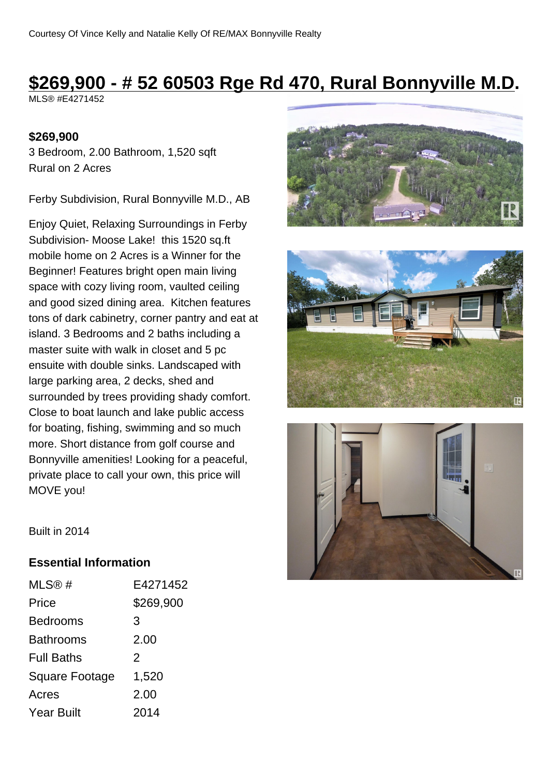# **\$269,900 - # 52 60503 Rge Rd 470, Rural Bonnyville M.D.**

MLS® #E4271452

#### **\$269,900**

3 Bedroom, 2.00 Bathroom, 1,520 sqft Rural on 2 Acres

Ferby Subdivision, Rural Bonnyville M.D., AB

Enjoy Quiet, Relaxing Surroundings in Ferby Subdivision- Moose Lake! this 1520 sq.ft mobile home on 2 Acres is a Winner for the Beginner! Features bright open main living space with cozy living room, vaulted ceiling and good sized dining area. Kitchen features tons of dark cabinetry, corner pantry and eat at island. 3 Bedrooms and 2 baths including a master suite with walk in closet and 5 pc ensuite with double sinks. Landscaped with large parking area, 2 decks, shed and surrounded by trees providing shady comfort. Close to boat launch and lake public access for boating, fishing, swimming and so much more. Short distance from golf course and Bonnyville amenities! Looking for a peaceful, private place to call your own, this price will MOVE you!







Built in 2014

#### **Essential Information**

| MLS@#                 | E4271452  |
|-----------------------|-----------|
| Price                 | \$269,900 |
| Bedrooms              | 3         |
| Bathrooms             | 2.00      |
| <b>Full Baths</b>     | 2         |
| <b>Square Footage</b> | 1,520     |
| Acres                 | 2.00      |
| Year Built            | 2014      |